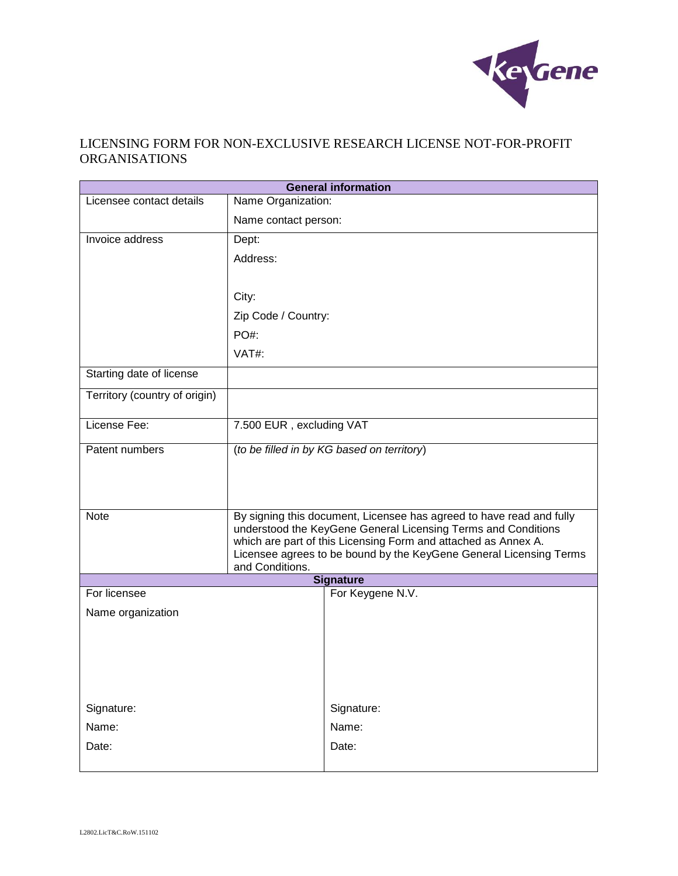

# LICENSING FORM FOR NON-EXCLUSIVE RESEARCH LICENSE NOT-FOR-PROFIT ORGANISATIONS

| <b>General information</b>                           |                                                                                                                                       |            |
|------------------------------------------------------|---------------------------------------------------------------------------------------------------------------------------------------|------------|
| Licensee contact details                             | Name Organization:                                                                                                                    |            |
|                                                      | Name contact person:                                                                                                                  |            |
| Invoice address                                      | Dept:                                                                                                                                 |            |
|                                                      | Address:                                                                                                                              |            |
|                                                      |                                                                                                                                       |            |
|                                                      | City:                                                                                                                                 |            |
|                                                      | Zip Code / Country:                                                                                                                   |            |
|                                                      | PO#:                                                                                                                                  |            |
|                                                      | VAT#:                                                                                                                                 |            |
| Starting date of license                             |                                                                                                                                       |            |
| Territory (country of origin)                        |                                                                                                                                       |            |
| License Fee:                                         | 7.500 EUR, excluding VAT                                                                                                              |            |
| Patent numbers                                       | (to be filled in by KG based on territory)                                                                                            |            |
|                                                      |                                                                                                                                       |            |
|                                                      |                                                                                                                                       |            |
| <b>Note</b>                                          | By signing this document, Licensee has agreed to have read and fully<br>understood the KeyGene General Licensing Terms and Conditions |            |
|                                                      | which are part of this Licensing Form and attached as Annex A.                                                                        |            |
|                                                      | Licensee agrees to be bound by the KeyGene General Licensing Terms                                                                    |            |
|                                                      | and Conditions.                                                                                                                       |            |
| <b>Signature</b><br>For Keygene N.V.<br>For licensee |                                                                                                                                       |            |
|                                                      |                                                                                                                                       |            |
| Name organization                                    |                                                                                                                                       |            |
|                                                      |                                                                                                                                       |            |
|                                                      |                                                                                                                                       |            |
|                                                      |                                                                                                                                       |            |
| Signature:                                           |                                                                                                                                       | Signature: |
| Name:                                                |                                                                                                                                       | Name:      |
| Date:                                                |                                                                                                                                       | Date:      |
|                                                      |                                                                                                                                       |            |